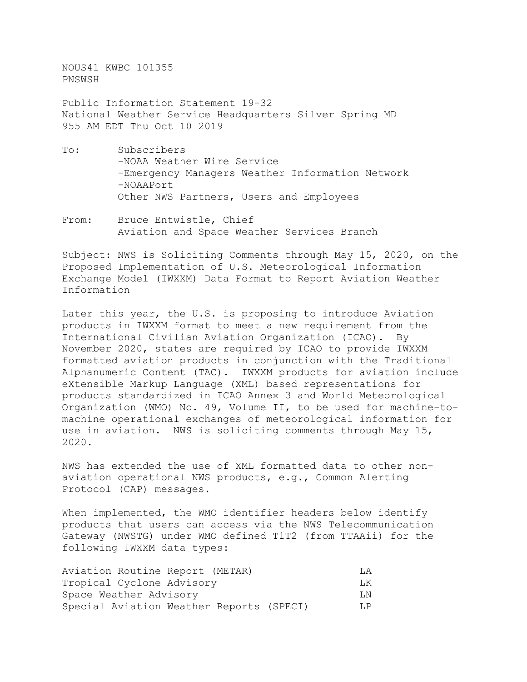NOUS41 KWBC 101355 PNSWSH

Public Information Statement 19-32 National Weather Service Headquarters Silver Spring MD 955 AM EDT Thu Oct 10 2019

- To: Subscribers -NOAA Weather Wire Service -Emergency Managers Weather Information Network -NOAAPort Other NWS Partners, Users and Employees
- From: Bruce Entwistle, Chief Aviation and Space Weather Services Branch

Subject: NWS is Soliciting Comments through May 15, 2020, on the Proposed Implementation of U.S. Meteorological Information Exchange Model (IWXXM) Data Format to Report Aviation Weather Information

Later this year, the U.S. is proposing to introduce Aviation products in IWXXM format to meet a new requirement from the International Civilian Aviation Organization (ICAO). By November 2020, states are required by ICAO to provide IWXXM formatted aviation products in conjunction with the Traditional Alphanumeric Content (TAC). IWXXM products for aviation include eXtensible Markup Language (XML) based representations for products standardized in ICAO Annex 3 and World Meteorological Organization (WMO) No. 49, Volume II, to be used for machine-tomachine operational exchanges of meteorological information for use in aviation. NWS is soliciting comments through May 15, 2020.

NWS has extended the use of XML formatted data to other nonaviation operational NWS products, e.g., Common Alerting Protocol (CAP) messages.

When implemented, the WMO identifier headers below identify products that users can access via the NWS Telecommunication Gateway (NWSTG) under WMO defined T1T2 (from TTAAii) for the following IWXXM data types:

| Aviation Routine Report (METAR)          | T.A. |
|------------------------------------------|------|
| Tropical Cyclone Advisory                | T.K  |
| Space Weather Advisory                   | T.N. |
| Special Aviation Weather Reports (SPECI) | T.P  |